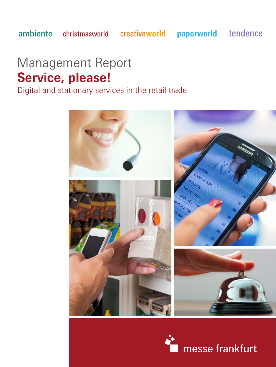creativeworld

paperworld

tendence

# Management Report **Service, please!**

Digital and stationary services in the retail trade



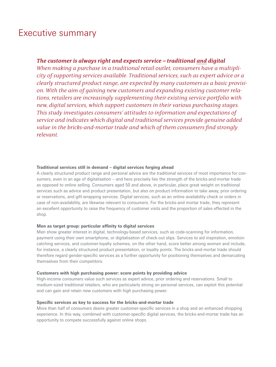## Executive summary

### *The customer is always right and expects service – traditional and digital*

*When making a purchase in a traditional retail outlet, consumers have a multiplicity of supporting services available. Traditional services, such as expert advice or a clearly structured product range, are expected by many customers as a basic provision. With the aim of gaining new customers and expanding existing customer relations, retailers are increasingly supplementing their existing service portfolio with new, digital services, which support customers in their various purchasing stages. This study investigates consumers' attitudes to information and expectations of service and indicates which digital and traditional services provide genuine added value in the bricks-and-mortar trade and which of them consumers find strongly relevant.*

#### **Traditional services still in demand – digital services forging ahead**

A clearly structured product range and personal advice are the traditional services of most importance for consumers, even in an age of digitalisation – and here precisely lies the strength of the bricks-and-mortar trade as opposed to online selling. Consumers aged 50 and above, in particular, place great weight on traditional services such as advice and product presentation, but also on product information to take away, prior ordering or reservations, and gift-wrapping services. Digital services, such as an online availability check or orders in case of non-availability, are likewise relevant to consumers. For the bricks-and mortar trade, they represent an excellent opportunity to raise the frequency of customer visits and the proportion of sales effected in the shop.

#### **Men as target group: particular affinity to digital services**

Men show greater interest in digital, technology-based services, such as code-scanning for information, payment using their own smartphone, or digitalisation of check-out slips. Services to aid inspiration, emotioncatching services, and customer-loyalty schemes, on the other hand, score better among women and include, for instance, a clearly structured product presentation, or loyalty points. The bricks-and-mortar trade should therefore regard gender-specific services as a further opportunity for positioning themselves and demarcating themselves from their competitors.

#### **Customers with high purchasing power: score points by providing advice**

High-income consumers value such services as expert advice, prior ordering and reservations. Small to medium-sized traditional retailers, who are particularly strong on personal services, can exploit this potential and can gain and retain new customers with high purchasing power.

#### **Specific services as key to success for the bricks-and-mortar trade**

More than half of consumers desire greater customer-specific services in a shop and an enhanced shopping experience. In this way, combined with customer-specific digital services, the bricks-and-mortar trade has an opportunity to compete successfully against online shops.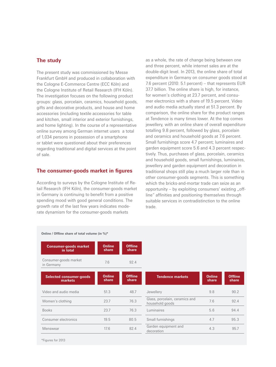#### **The study**

The present study was commissioned by Messe Frankfurt GmbH and produced in collaboration with the Cologne E-Commerce Centre (ECC Köln) and the Cologne Institute of Retail Research (IFH Köln). The investigation focuses on the following product groups: glass, porcelain, ceramics, household goods, gifts and decorative products, and house and home accessories (including textile accessories for table and kitchen, small interior and exterior furnishings, and home lighting). In the course of a representative online survey among German internet users a total of 1,034 persons in possession of a smartphone or tablet were questioned about their preferences regarding traditional and digital services at the point of sale.

#### **The consumer-goods market in figures**

According to surveys by the Cologne Institute of Retail Research (IFH Köln), the consumer-goods market in Germany is continuing to benefit from a positive spending mood with good general conditions. The growth rate of the last few years indicates moderate dynamism for the consumer-goods markets

as a whole, the rate of change being between one and three percent, while internet sales are at the double-digit level. In 2013, the online share of total expenditure in Germany on consumer goods stood at 7.6 percent (2010: 5.1 percent) – that represents EUR 37.7 billion. The online share is high, for instance, for women's clothing at 23.7 percent, and consumer electronics with a share of 19.5 percent. Video and audio media actually stand at 51.3 percent. By comparison, the online share for the product ranges at Tendence is many times lower. At the top comes jewellery, with an online share of overall expenditure totalling 9.8 percent, followed by glass, porcelain and ceramics and household goods at 7.6 percent. Small furnishings score 4.7 percent; luminaires and garden equipment score 5.6 and 4.3 percent respectively. Thus, purchases of glass, porcelain, ceramics and household goods, small furnishings, luminaires, jewellery and garden equipment and decoration in traditional shops still play a much larger role than in other consumer-goods segments. This is something which the bricks-and-mortar trade can seize as an opportunity  $-$  by exploiting consumers' existing "offline" affinities and positioning themselves through suitable services in contradistinction to the online trade.

| Online / Offline share of total volume (in %)* |                        |                         |                                                   |                        |
|------------------------------------------------|------------------------|-------------------------|---------------------------------------------------|------------------------|
| <b>Consumer-goods market</b><br>in total       | <b>Online</b><br>share | <b>Offline</b><br>share |                                                   |                        |
| Consumer-goods market<br>in Germany            | 7.6                    | 92.4                    |                                                   |                        |
| <b>Selected consumer-goods</b><br>markets      | <b>Online</b><br>share | <b>Offline</b><br>share | <b>Tendence markets</b>                           | <b>Online</b><br>share |
| Video and audio media                          | 51.3                   | 48.7                    | Jewellery                                         | 9.8                    |
| Women's clothing                               | 23.7                   | 76.3                    | Glass, porcelain, ceramics and<br>household goods | 7.6                    |
| <b>Books</b>                                   | 23.7                   | 76.3                    | Luminaires                                        | 5.6                    |
| Consumer electronics                           | 19.5                   | 80.5                    | Small furnishings                                 | 4.7                    |
| Menswear                                       | 17.6                   | 82.4                    | Garden equipment and<br>decoration                | 4.3                    |
|                                                |                        |                         |                                                   |                        |

\*Figures for 2013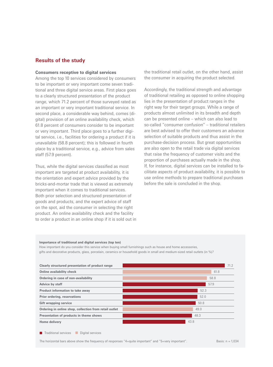#### **Results of the study**

#### **Consumers receptive to digital services**

Among the top 10 services considered by consumers to be important or very important come seven traditional and three digital service areas. First place goes to a clearly structured presentation of the product range, which 71.2 percent of those surveyed rated as an important or very important traditional service. In second place, a considerable way behind, comes (digital) provision of an online availability check, which 61.8 percent of consumers consider to be important or very important. Third place goes to a further digital service, i.e., facilities for ordering a product if it is unavailable (58.8 percent); this is followed in fourth place by a traditional service, e.g., advice from sales staff (57.9 percent).

Thus, while the digital services classified as most important are targeted at product availability, it is the orientation and expert advice provided by the bricks-and-mortar trade that is viewed as extremely important when it comes to traditional services. Both prior selection and structured presentation of goods and products, and the expert advice of staff on the spot, aid the consumer in selecting the right product. An online availability check and the facility to order a product in an online shop if it is sold out in

the traditional retail outlet, on the other hand, assist the consumer in acquiring the product selected.

Accordingly, the traditional strength and advantage of traditional retailing as opposed to online shopping lies in the presentation of product ranges in the right way for their target groups. While a range of products almost unlimited in its breadth and depth can be presented online – which can also lead to so-called "consumer confusion" – traditional retailers are best advised to offer their customers an advance selection of suitable products and thus assist in the purchase-decision process. But great opportunities are also open to the retail trade via digital services that raise the frequency of customer visits and the proportion of purchases actually made in the shop. If, for instance, digital services can be installed to facilitate aspects of product availability, it is possible to use online methods to prepare traditional purchases before the sale is concluded in the shop.

#### **Importance of traditional and digital services (top ten)**

How important do you consider this service when buying small furnishings such as house and home accessories, gifts and decorative products, glass, porcelain, ceramics or household goods in small and medium-sized retail outlets (in %)?



**T** Traditional services Digital services

The horizontal bars above show the frequency of responses "4=quite important" and "5=very important". Basis: n = 1,034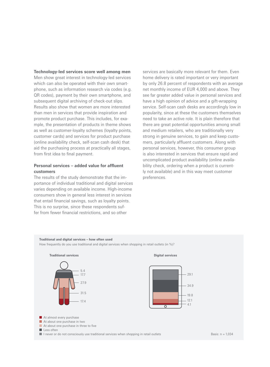**Technology-led services score well among men** Men show great interest in technology-led services which can also be operated with their own smartphone, such as information research via codes (e.g. QR codes), payment by their own smartphone, and subsequent digital archiving of check-out slips. Results also show that women are more interested than men in services that provide inspiration and promote product purchase. This includes, for example, the presentation of products in theme shows as well as customer-loyalty schemes (loyalty points, customer cards) and services for product purchase (online availability check, self-scan cash desk) that aid the purchasing process at practically all stages, from first idea to final payment.

#### **Personal services – added value for affluent customers**

The results of the study demonstrate that the importance of individual traditional and digital services varies depending on available income. High-income consumers show in general less interest in services that entail financial savings, such as loyalty points. This is no surprise, since these respondents suffer from fewer financial restrictions, and so other

services are basically more relevant for them. Even home delivery is rated important or very important by only 26.8 percent of respondents with an average net monthly income of EUR 4,000 and above. They see far greater added value in personal services and have a high opinion of advice and a gift-wrapping service. Self-scan cash desks are accordingly low in popularity, since at these the customers themselves need to take an active role. It is plain therefore that there are great potential opportunities among small and medium retailers, who are traditionally very strong in genuine services, to gain and keep customers, particularly affluent customers. Along with personal services, however, this consumer group is also interested in services that ensure rapid and uncomplicated product availability (online availability check, ordering when a product is currently not available) and in this way meet customer preferences.







At almost every purchase

- At about one purchase in two
- At about one purchase in three to five

Less often

I never or do not consciously use traditional services when shopping in retail outlets Basis: n =  $1,034$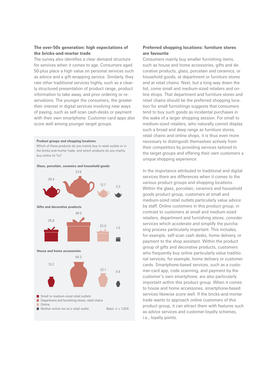#### **The over-50s generation: high expectations of the bricks-and-mortar trade**

The survey also identifies a clear demand structure for services when it comes to age. Consumers aged 50-plus place a high value on personal services such as advice and a gift-wrapping service. Similarly, they rate other traditional services highly, such as a clearly structured presentation of product range, product information to take away, and prior ordering or reservations. The younger the consumers, the greater their interest in digital services involving new ways of paying, such as self-scan cash-desks or payment with their own smartphone. Customer-card apps also score well among younger target groups.



Which of these products do you mainly buy in retail outlets or in the bricks-and-mortar trade, and which products do you mainly buy online (in %)?



#### **Preferred shopping locations: furniture stores are favourite**

Consumers mainly buy smaller furnishing items, such as house and home accessories, gifts and decorative products, glass, porcelain and ceramics, or household goods, at department or furniture stores and at retail chains. Next, but a long way down the list, come small and medium-sized retailers and online shops. That department and furniture stores and retail chains should be the preferred shopping location for small furnishings suggests that consumers tend to buy such goods as incidental purchases in the wake of a larger shopping session. For small to medium-sized retailers, who naturally cannot display such a broad and deep range as furniture stores, retail chains and online shops, it is thus even more necessary to distinguish themselves actively from their competitors by providing services tailored to the target groups and offering their own customers a unique shopping experience.

In the importance attributed to traditional and digital services there are differences when it comes to the various product groups and shopping locations. Within the glass, porcelain, ceramics and household goods product group, customers at small and medium-sized retail outlets particularly value advice by staff. Online customers in this product group, in contrast to customers at small and medium-sized retailers, department and furnishing stores, consider services which accelerate and simplify the purchasing process particularly important. This includes, for example, self-scan cash desks, home delivery, or payment to the shop assistant. Within the product group of gifts and decorative products, customers who frequently buy online particularly value traditional services, for example, home delivery or customer cards. Smartphone-based services, such as a customer-card app, code scanning, and payment by the customer's own smartphone, are also particularly important within this product group. When it comes to house and home accessories, smartphone-based services likewise score well. If the bricks-and-mortar trade wants to approach online customers of this product group, it can attract them with features such as advice services and customer-loyalty schemes, i.e., loyalty points.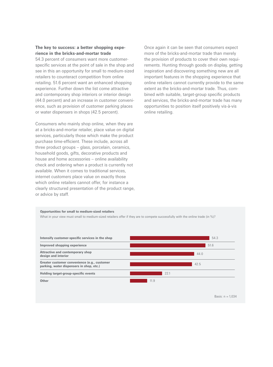#### **The key to success: a better shopping experience in the bricks-and-mortar trade**

54.3 percent of consumers want more customerspecific services at the point of sale in the shop and see in this an opportunity for small to medium-sized retailers to counteract competition from online retailing. 51.6 percent want an enhanced shopping experience. Further down the list come attractive and contemporary shop interiors or interior design (44.0 percent) and an increase in customer convenience, such as provision of customer parking places or water dispensers in shops (42.5 percent).

Consumers who mainly shop online, when they are at a bricks-and-mortar retailer, place value on digital services, particularly those which make the product purchase time-efficient. These include, across all three product groups – glass, porcelain, ceramics, household goods, gifts, decorative products and house and home accessories – online availability check and ordering when a product is currently not available. When it comes to traditional services, internet customers place value on exactly those which online retailers cannot offer, for instance a clearly structured presentation of the product range, or advice by staff.

Once again it can be seen that consumers expect more of the bricks-and-mortar trade than merely the provision of products to cover their own requirements. Hunting through goods on display, getting inspiration and discovering something new are all important features in the shopping experience that online retailers cannot currently provide to the same extent as the bricks-and-mortar trade. Thus, combined with suitable, target-group specific products and services, the bricks-and-mortar trade has many opportunities to position itself positively vis-à-vis online retailing.

#### **Opportunities for small to medium-sized retailers**

What in your view must small to medium-sized retailers offer if they are to compete successfully with the online trade (in %)?



Basis:  $n = 1.034$